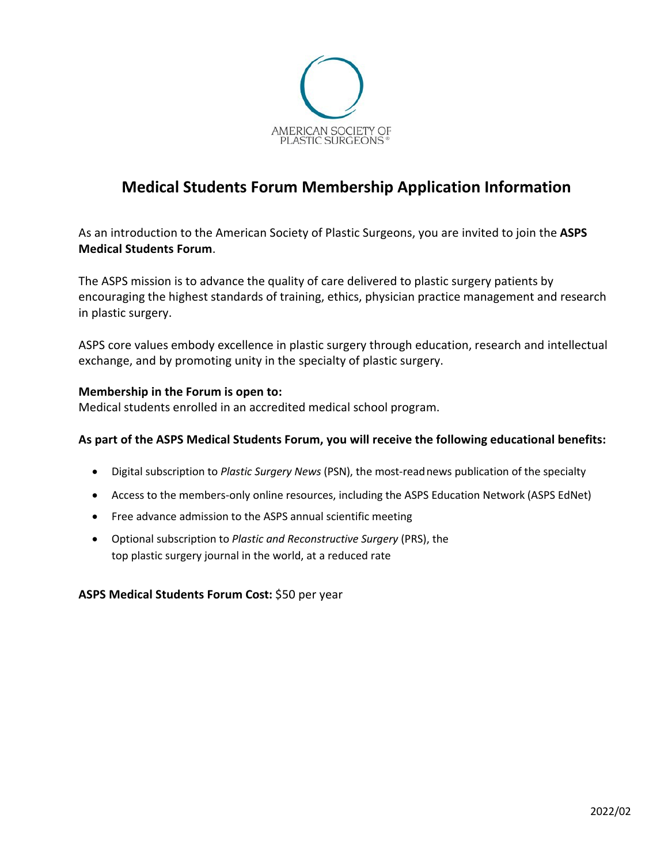

## **Medical Students Forum Membership Application Information**

As an introduction to the American Society of Plastic Surgeons, you are invited to join the **ASPS Medical Students Forum**.

The ASPS mission is to advance the quality of care delivered to plastic surgery patients by encouraging the highest standards of training, ethics, physician practice management and research in plastic surgery.

ASPS core values embody excellence in plastic surgery through education, research and intellectual exchange, and by promoting unity in the specialty of plastic surgery.

#### **Membership in the Forum is open to:**

Medical students enrolled in an accredited medical school program.

#### **As part of the ASPS Medical Students Forum, you will receive the following educational benefits:**

- Digital subscription to *Plastic Surgery News* (PSN), the most-read news publication of the specialty
- Access to the members-only online resources, including the ASPS Education Network (ASPS EdNet)
- Free advance admission to the ASPS annual scientific meeting
- Optional subscription to *Plastic and Reconstructive Surgery* (PRS), the top plastic surgery journal in the world, at a reduced rate

**ASPS Medical Students Forum Cost:** \$50 per year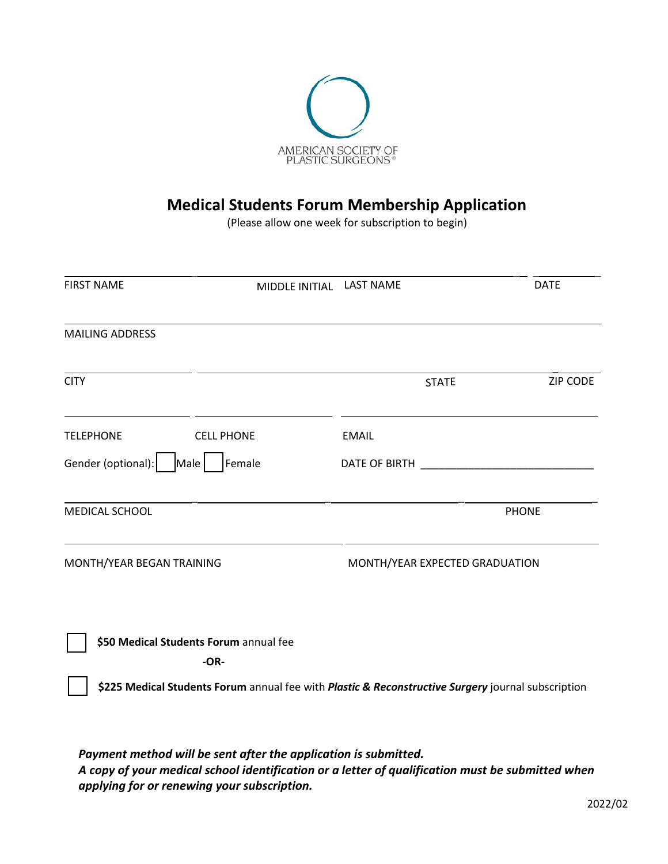

# **Medical Students Forum Membership Application**

(Please allow one week for subscription to begin)

| <b>FIRST NAME</b>                                                                                                                                                   | MIDDLE INITIAL | <b>LAST NAME</b>                                                                                   | <b>DATE</b>  |
|---------------------------------------------------------------------------------------------------------------------------------------------------------------------|----------------|----------------------------------------------------------------------------------------------------|--------------|
| <b>MAILING ADDRESS</b>                                                                                                                                              |                |                                                                                                    |              |
| <b>CITY</b>                                                                                                                                                         |                | <b>STATE</b>                                                                                       | ZIP CODE     |
| <b>TELEPHONE</b><br><b>CELL PHONE</b>                                                                                                                               |                | <b>EMAIL</b>                                                                                       |              |
| Gender (optional):<br>Male                                                                                                                                          | Female         | DATE OF BIRTH <b>And All Property Container and All Property</b>                                   |              |
| <b>MEDICAL SCHOOL</b>                                                                                                                                               |                |                                                                                                    | <b>PHONE</b> |
| MONTH/YEAR BEGAN TRAINING                                                                                                                                           |                | MONTH/YEAR EXPECTED GRADUATION                                                                     |              |
| \$50 Medical Students Forum annual fee<br>$-OR-$                                                                                                                    |                | \$225 Medical Students Forum annual fee with Plastic & Reconstructive Surgery journal subscription |              |
| Payment method will be sent after the application is submitted.<br>A copy of your medical school identification or a letter of qualification must be submitted when |                |                                                                                                    |              |

*applying for or renewing your subscription.*